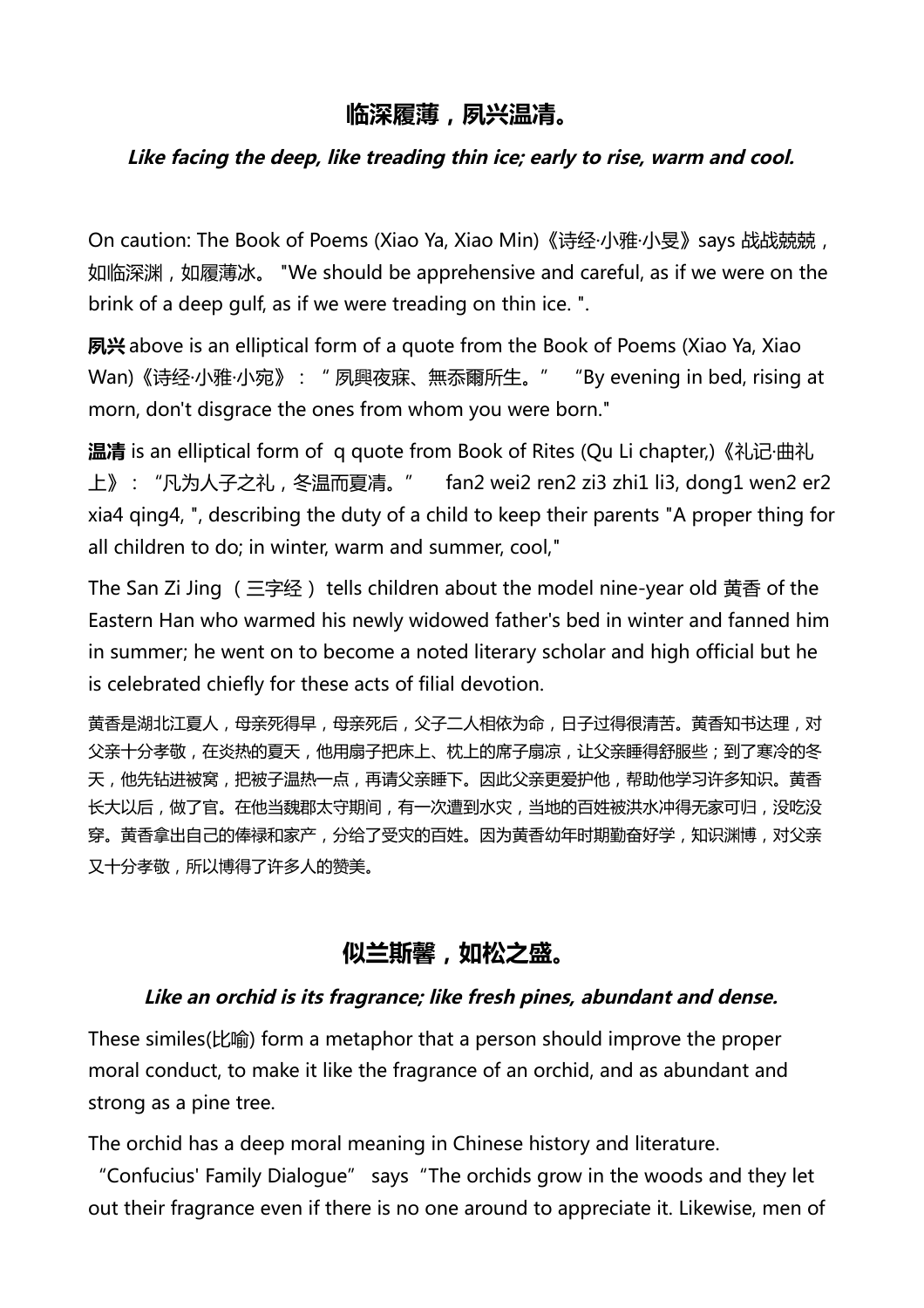## **临深履薄,夙兴温凊。**

#### **Like facing the deep, like treading thin ice; early to rise, warm and cool.**

On caution: The Book of Poems (Xiao Ya, Xiao Min)《诗经·小雅·小旻》says 战战兢兢, 如临深渊,如履薄冰。 "We should be apprehensive and careful, as if we were on the brink of a deep gulf, as if we were treading on thin ice. ".

**夙兴** above is an elliptical form of a quote from the Book of Poems (Xiao Ya, Xiao Wan)《诗经·小雅·小宛》: "夙興夜寐、無忝爾所生。" "By evening in bed, rising at morn, don't disgrace the ones from whom you were born."

**温凊** is an elliptical form of q quote from Book of Rites (Qu Li chapter,)[《礼记·曲礼](http://www.hudong.com/wiki/%E7%A4%BC%E8%AE%B0%C2%B7%E6%9B%B2%E7%A4%BC%E4%B8%8A) [上》](http://www.hudong.com/wiki/%E7%A4%BC%E8%AE%B0%C2%B7%E6%9B%B2%E7%A4%BC%E4%B8%8A): ["凡为人子之礼,](javascript:linkredwin() [冬温而夏凊。](javascript:linkredwin()" fan2 wei2 ren2 zi3 zhi1 li3, dong1 wen2 er2 xia4 qing4, ", describing the duty of a child to keep their parents "A proper thing for all children to do; in winter, warm and summer, cool,"

The San Zi Jing (三字经) tells children about the model nine-year old 黄香 of the Eastern Han who warmed his newly widowed father's bed in winter and fanned him in summer; he went on to become a noted literary scholar and high official but he is celebrated chiefly for these acts of filial devotion.

黄香是湖北江夏人,母亲死得早,母亲死后,父子二人相依为命,日子过得很清苦。黄香知书达理,对 父亲十分孝敬,在炎热的夏天,他用扇子把床上、枕上的席子扇凉,让父亲睡得舒服些;到了寒冷的冬 天,他先钻进被窝,把被子温热一点,再请父亲睡下。因此父亲更爱护他,帮助他学习许多知识。黄香 长大以后,做了官。在他当魏郡太守期间,有一次遭到水灾,当地的百姓被洪水冲得无家可归,没吃没 穿。黄香拿出自己的俸禄和家产,分给了受灾的百姓。因为黄香幼年时期勤奋好学,知识渊博,对父亲 又十分孝敬,所以博得了许多人的赞美。

## **似兰斯馨,如松之盛。**

#### **Like an orchid is its fragrance; like fresh pines, abundant and dense.**

These similes(比喻) form a metaphor that a person should improve the proper moral conduct, to make it like the fragrance of an orchid, and as abundant and strong as a pine tree.

The orchid has a deep moral meaning in Chinese history and literature.

"Confucius' Family Dialogue" says"The orchids grow in the woods and they let out their fragrance even if there is no one around to appreciate it. Likewise, men of